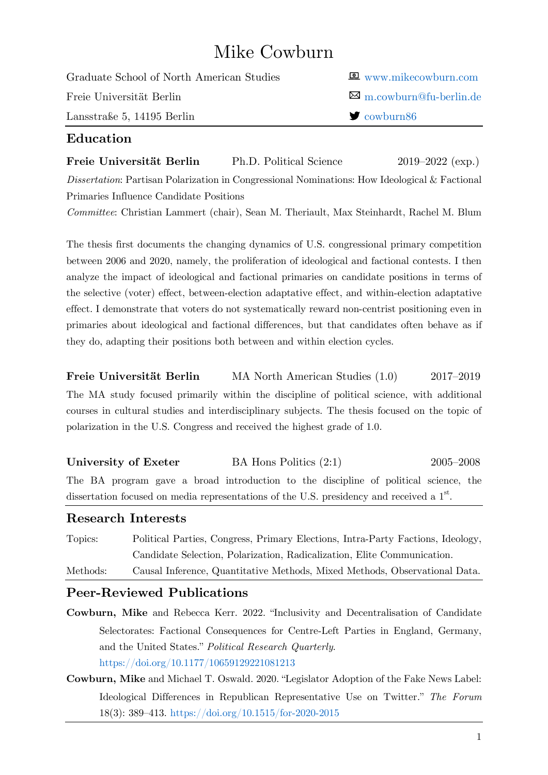# Mike Cowburn

| Graduate School of North American Studies | $\blacksquare$ www.mikecowburn.com |
|-------------------------------------------|------------------------------------|
| Freie Universität Berlin                  | $\boxtimes$ m.cowburn@fu-berlin.de |
| Lansstraße 5, 14195 Berlin                | $\blacktriangleright$ cowburn86    |

### **Education**

**Freie Universität Berlin** Ph.D. Political Science 2019–2022 (exp.) *Dissertation*: Partisan Polarization in Congressional Nominations: How Ideological & Factional Primaries Influence Candidate Positions

*Committee*: Christian Lammert (chair), Sean M. Theriault, Max Steinhardt, Rachel M. Blum

The thesis first documents the changing dynamics of U.S. congressional primary competition between 2006 and 2020, namely, the proliferation of ideological and factional contests. I then analyze the impact of ideological and factional primaries on candidate positions in terms of the selective (voter) effect, between-election adaptative effect, and within-election adaptative effect. I demonstrate that voters do not systematically reward non-centrist positioning even in primaries about ideological and factional differences, but that candidates often behave as if they do, adapting their positions both between and within election cycles.

**Freie Universität Berlin** MA North American Studies (1.0) 2017–2019 The MA study focused primarily within the discipline of political science, with additional courses in cultural studies and interdisciplinary subjects. The thesis focused on the topic of polarization in the U.S. Congress and received the highest grade of 1.0.

**University of Exeter** BA Hons Politics (2:1) 2005–2008 The BA program gave a broad introduction to the discipline of political science, the dissertation focused on media representations of the U.S. presidency and received a  $1<sup>st</sup>$ .

#### **Research Interests**

| Topics:  | Political Parties, Congress, Primary Elections, Intra-Party Factions, Ideology, |
|----------|---------------------------------------------------------------------------------|
|          | Candidate Selection, Polarization, Radicalization, Elite Communication.         |
| Methods: | Causal Inference, Quantitative Methods, Mixed Methods, Observational Data.      |

#### **Peer-Reviewed Publications**

- **Cowburn, Mike** and Rebecca Kerr. 2022. "Inclusivity and Decentralisation of Candidate Selectorates: Factional Consequences for Centre-Left Parties in England, Germany, and the United States." *Political Research Quarterly*. <https://doi.org/10.1177/10659129221081213>
- **Cowburn, Mike** and Michael T. Oswald. 2020. "Legislator Adoption of the Fake News Label: Ideological Differences in Republican Representative Use on Twitter." *The Forum* 18(3): 389–413.<https://doi.org/10.1515/for-2020-2015>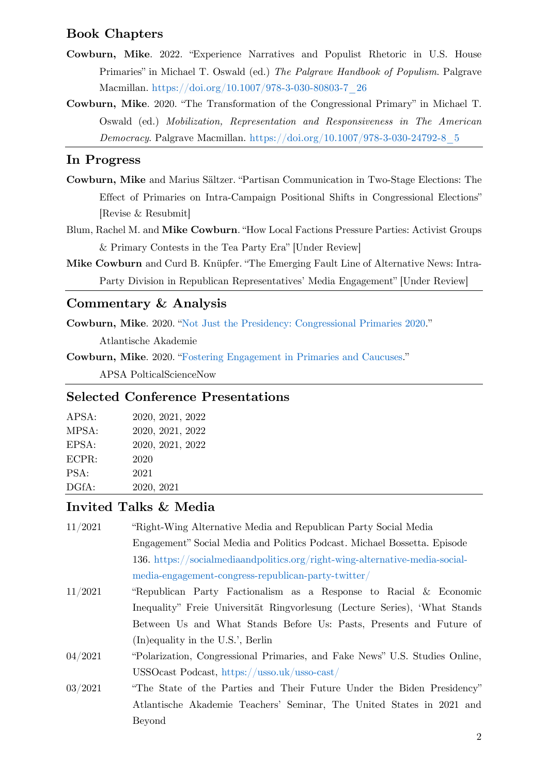#### **Book Chapters**

- **Cowburn, Mike**. 2022. "Experience Narratives and Populist Rhetoric in U.S. House Primaries" in Michael T. Oswald (ed.) *The Palgrave Handbook of Populism*. Palgrave Macmillan. [https://doi.org/10.1007/978-3-030-80803-7\\_26](https://doi.org/10.1007/978-3-030-80803-7_26)
- **Cowburn, Mike**. 2020. "The Transformation of the Congressional Primary" in Michael T. Oswald (ed.) *Mobilization, Representation and Responsiveness in The American Democracy*. Palgrave Macmillan. [https://doi.org/10.1007/978-3-030-24792-8\\_5](https://doi.org/10.1007/978-3-030-24792-8_5)

#### **In Progress**

- **Cowburn, Mike** and Marius Sältzer. "Partisan Communication in Two-Stage Elections: The Effect of Primaries on Intra-Campaign Positional Shifts in Congressional Elections" [Revise & Resubmit]
- Blum, Rachel M. and **Mike Cowburn**. "How Local Factions Pressure Parties: Activist Groups & Primary Contests in the Tea Party Era" [Under Review]
- **Mike Cowburn** and Curd B. Knüpfer. "The Emerging Fault Line of Alternative News: Intra-Party Division in Republican Representatives' Media Engagement" [Under Review]

#### **Commentary & Analysis**

**Cowburn, Mike**. 2020. "[Not Just the Presidency: Congressional Primaries 2020](http://www.atlantische-akademie.de/blog-congressional-primaries-2020/)."

Atlantische Akademie

**Cowburn, Mike**. 2020. "[Fostering Engagement in Primaries and Caucuses](https://politicalsciencenow.com/fostering-engagement-in-primaries-and-caucuses/)."

APSA PolticalScienceNow

#### **Selected Conference Presentations**

| APSA: | 2020, 2021, 2022 |
|-------|------------------|
| MPSA: | 2020, 2021, 2022 |
| EPSA: | 2020, 2021, 2022 |
| ECPR: | 2020             |
| PSA:  | 2021             |
| DGfA: | 2020, 2021       |

#### **Invited Talks & Media**

| 11/2021 | "Right-Wing Alternative Media and Republican Party Social Media              |  |
|---------|------------------------------------------------------------------------------|--|
|         | Engagement" Social Media and Politics Podcast. Michael Bossetta. Episode     |  |
|         | 136. https://socialmediaandpolitics.org/right-wing-alternative-media-social- |  |
|         | media-engagement-congress-republican-party-twitter/                          |  |
| 11/2021 | "Republican Party Factionalism as a Response to Racial & Economic            |  |
|         | Inequality" Freie Universität Ringvorlesung (Lecture Series), 'What Stands   |  |
|         | Between Us and What Stands Before Us: Pasts, Presents and Future of          |  |
|         | $(In)$ equality in the U.S.', Berlin                                         |  |
| 04/2021 | "Polarization, Congressional Primaries, and Fake News" U.S. Studies Online,  |  |
|         | USSOcast Podcast, https://usso.uk/usso-cast/                                 |  |
| 03/2021 | "The State of the Parties and Their Future Under the Biden Presidency"       |  |
|         | Atlantische Akademie Teachers' Seminar, The United States in 2021 and        |  |
|         | Beyond                                                                       |  |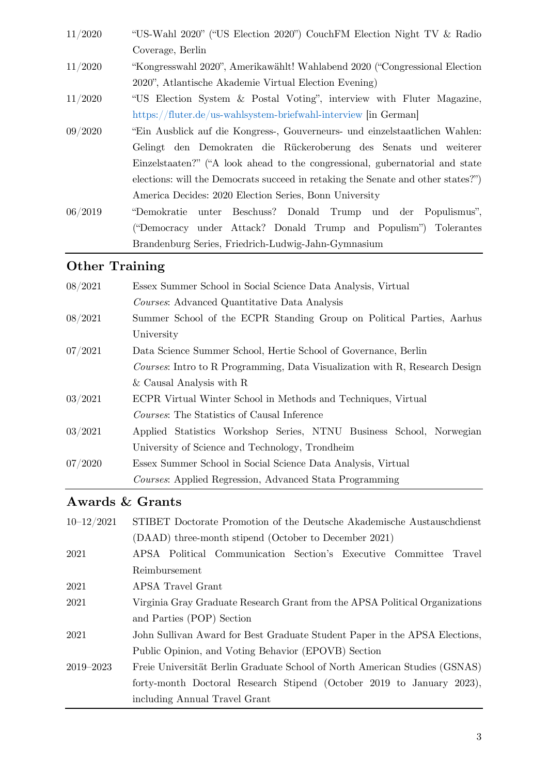- 11/2020 "US-Wahl 2020" ("US Election 2020") CouchFM Election Night TV & Radio Coverage, Berlin
- 11/2020 "Kongresswahl 2020", Amerikawählt! Wahlabend 2020 ("Congressional Election 2020", Atlantische Akademie Virtual Election Evening)
- 11/2020 "US Election System & Postal Voting", interview with Fluter Magazine, <https://fluter.de/us-wahlsystem-briefwahl-interview> [in German]
- 09/2020 "Ein Ausblick auf die Kongress-, Gouverneurs- und einzelstaatlichen Wahlen: Gelingt den Demokraten die Rückeroberung des Senats und weiterer Einzelstaaten?" ("A look ahead to the congressional, gubernatorial and state elections: will the Democrats succeed in retaking the Senate and other states?") America Decides: 2020 Election Series, Bonn University
- 06/2019 "Demokratie unter Beschuss? Donald Trump und der Populismus", ("Democracy under Attack? Donald Trump and Populism") Tolerantes Brandenburg Series, Friedrich-Ludwig-Jahn-Gymnasium

### **Other Training**

| 08/2021 | Essex Summer School in Social Science Data Analysis, Virtual                |  |
|---------|-----------------------------------------------------------------------------|--|
|         | Courses: Advanced Quantitative Data Analysis                                |  |
| 08/2021 | Summer School of the ECPR Standing Group on Political Parties, Aarhus       |  |
|         | University                                                                  |  |
| 07/2021 | Data Science Summer School, Hertie School of Governance, Berlin             |  |
|         | Courses: Intro to R Programming, Data Visualization with R, Research Design |  |
|         | $&$ Causal Analysis with R                                                  |  |
| 03/2021 | ECPR Virtual Winter School in Methods and Techniques, Virtual               |  |
|         | <i>Courses:</i> The Statistics of Causal Inference                          |  |
| 03/2021 | Applied Statistics Workshop Series, NTNU Business School, Norwegian         |  |
|         | University of Science and Technology, Trondheim                             |  |
| 07/2020 | Essex Summer School in Social Science Data Analysis, Virtual                |  |
|         | <i>Courses</i> : Applied Regression, Advanced Stata Programming             |  |

## **Awards & Grants**

| $10 - 12/2021$ | STIBET Doctorate Promotion of the Deutsche Akademische Austauschdienst      |  |
|----------------|-----------------------------------------------------------------------------|--|
|                | (DAAD) three-month stipend (October to December 2021)                       |  |
| 2021           | APSA Political Communication Section's Executive Committee Travel           |  |
|                | Reimbursement                                                               |  |
| 2021           | APSA Travel Grant                                                           |  |
| 2021           | Virginia Gray Graduate Research Grant from the APSA Political Organizations |  |
|                | and Parties (POP) Section                                                   |  |
| 2021           | John Sullivan Award for Best Graduate Student Paper in the APSA Elections,  |  |
|                | Public Opinion, and Voting Behavior (EPOVB) Section                         |  |
| 2019–2023      | Freie Universität Berlin Graduate School of North American Studies (GSNAS)  |  |
|                | forty-month Doctoral Research Stipend (October 2019 to January 2023),       |  |
|                | including Annual Travel Grant                                               |  |